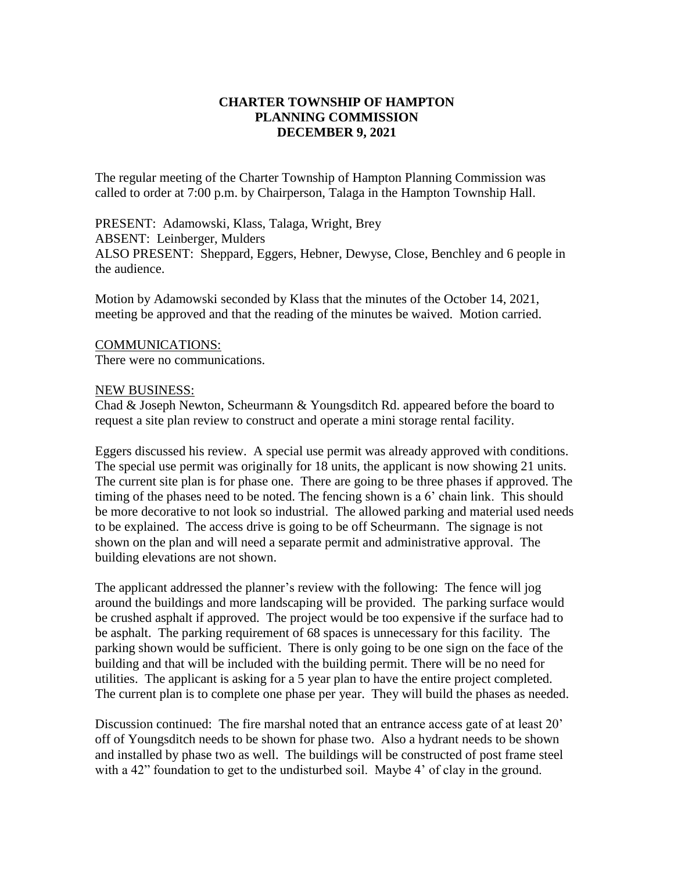## **CHARTER TOWNSHIP OF HAMPTON PLANNING COMMISSION DECEMBER 9, 2021**

The regular meeting of the Charter Township of Hampton Planning Commission was called to order at 7:00 p.m. by Chairperson, Talaga in the Hampton Township Hall.

PRESENT: Adamowski, Klass, Talaga, Wright, Brey ABSENT: Leinberger, Mulders ALSO PRESENT: Sheppard, Eggers, Hebner, Dewyse, Close, Benchley and 6 people in the audience.

Motion by Adamowski seconded by Klass that the minutes of the October 14, 2021, meeting be approved and that the reading of the minutes be waived. Motion carried.

## COMMUNICATIONS:

There were no communications.

## NEW BUSINESS:

Chad & Joseph Newton, Scheurmann & Youngsditch Rd. appeared before the board to request a site plan review to construct and operate a mini storage rental facility.

Eggers discussed his review. A special use permit was already approved with conditions. The special use permit was originally for 18 units, the applicant is now showing 21 units. The current site plan is for phase one. There are going to be three phases if approved. The timing of the phases need to be noted. The fencing shown is a 6' chain link. This should be more decorative to not look so industrial. The allowed parking and material used needs to be explained. The access drive is going to be off Scheurmann. The signage is not shown on the plan and will need a separate permit and administrative approval. The building elevations are not shown.

The applicant addressed the planner's review with the following: The fence will jog around the buildings and more landscaping will be provided. The parking surface would be crushed asphalt if approved. The project would be too expensive if the surface had to be asphalt. The parking requirement of 68 spaces is unnecessary for this facility. The parking shown would be sufficient. There is only going to be one sign on the face of the building and that will be included with the building permit. There will be no need for utilities. The applicant is asking for a 5 year plan to have the entire project completed. The current plan is to complete one phase per year. They will build the phases as needed.

Discussion continued: The fire marshal noted that an entrance access gate of at least 20' off of Youngsditch needs to be shown for phase two. Also a hydrant needs to be shown and installed by phase two as well. The buildings will be constructed of post frame steel with a 42" foundation to get to the undisturbed soil. Maybe 4' of clay in the ground.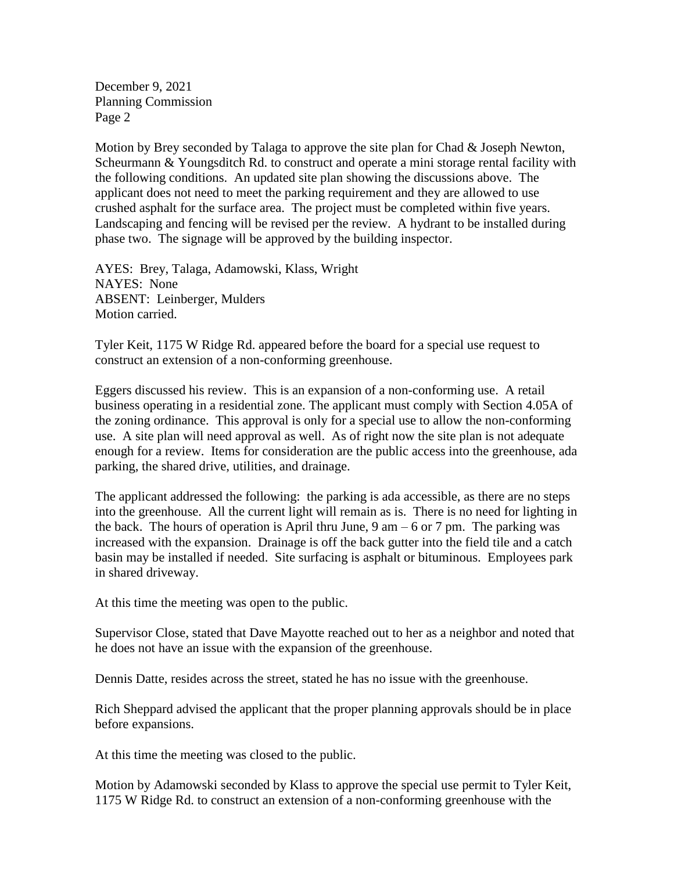December 9, 2021 Planning Commission Page 2

Motion by Brey seconded by Talaga to approve the site plan for Chad & Joseph Newton, Scheurmann & Youngsditch Rd. to construct and operate a mini storage rental facility with the following conditions. An updated site plan showing the discussions above. The applicant does not need to meet the parking requirement and they are allowed to use crushed asphalt for the surface area. The project must be completed within five years. Landscaping and fencing will be revised per the review. A hydrant to be installed during phase two. The signage will be approved by the building inspector.

AYES: Brey, Talaga, Adamowski, Klass, Wright NAYES: None ABSENT: Leinberger, Mulders Motion carried.

Tyler Keit, 1175 W Ridge Rd. appeared before the board for a special use request to construct an extension of a non-conforming greenhouse.

Eggers discussed his review. This is an expansion of a non-conforming use. A retail business operating in a residential zone. The applicant must comply with Section 4.05A of the zoning ordinance. This approval is only for a special use to allow the non-conforming use. A site plan will need approval as well. As of right now the site plan is not adequate enough for a review. Items for consideration are the public access into the greenhouse, ada parking, the shared drive, utilities, and drainage.

The applicant addressed the following: the parking is ada accessible, as there are no steps into the greenhouse. All the current light will remain as is. There is no need for lighting in the back. The hours of operation is April thru June,  $9 \text{ am} - 6 \text{ or } 7 \text{ pm}$ . The parking was increased with the expansion. Drainage is off the back gutter into the field tile and a catch basin may be installed if needed. Site surfacing is asphalt or bituminous. Employees park in shared driveway.

At this time the meeting was open to the public.

Supervisor Close, stated that Dave Mayotte reached out to her as a neighbor and noted that he does not have an issue with the expansion of the greenhouse.

Dennis Datte, resides across the street, stated he has no issue with the greenhouse.

Rich Sheppard advised the applicant that the proper planning approvals should be in place before expansions.

At this time the meeting was closed to the public.

Motion by Adamowski seconded by Klass to approve the special use permit to Tyler Keit, 1175 W Ridge Rd. to construct an extension of a non-conforming greenhouse with the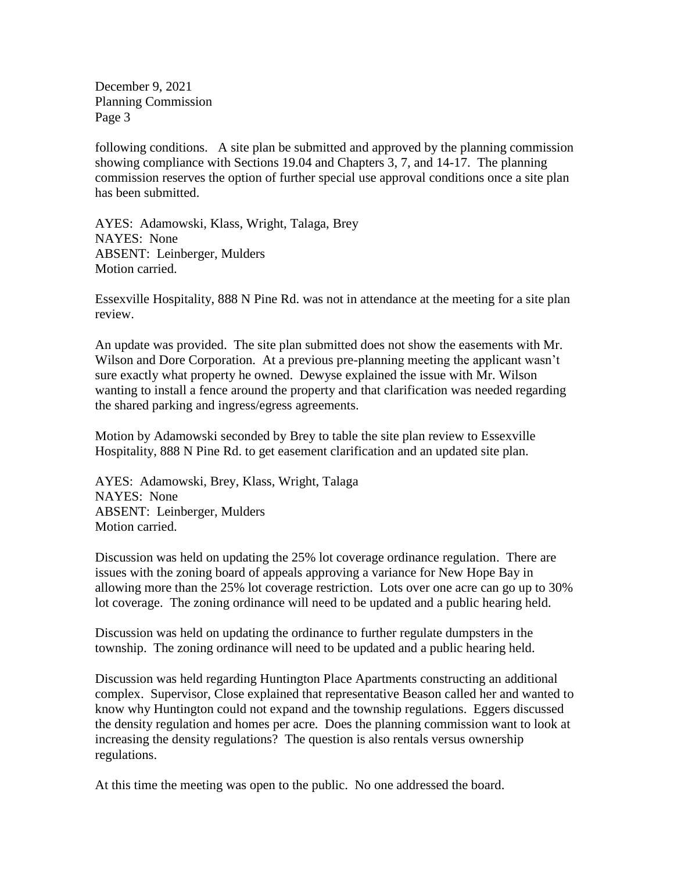December 9, 2021 Planning Commission Page 3

following conditions. A site plan be submitted and approved by the planning commission showing compliance with Sections 19.04 and Chapters 3, 7, and 14-17. The planning commission reserves the option of further special use approval conditions once a site plan has been submitted.

AYES: Adamowski, Klass, Wright, Talaga, Brey NAYES: None ABSENT: Leinberger, Mulders Motion carried.

Essexville Hospitality, 888 N Pine Rd. was not in attendance at the meeting for a site plan review.

An update was provided. The site plan submitted does not show the easements with Mr. Wilson and Dore Corporation. At a previous pre-planning meeting the applicant wasn't sure exactly what property he owned. Dewyse explained the issue with Mr. Wilson wanting to install a fence around the property and that clarification was needed regarding the shared parking and ingress/egress agreements.

Motion by Adamowski seconded by Brey to table the site plan review to Essexville Hospitality, 888 N Pine Rd. to get easement clarification and an updated site plan.

AYES: Adamowski, Brey, Klass, Wright, Talaga NAYES: None ABSENT: Leinberger, Mulders Motion carried.

Discussion was held on updating the 25% lot coverage ordinance regulation. There are issues with the zoning board of appeals approving a variance for New Hope Bay in allowing more than the 25% lot coverage restriction. Lots over one acre can go up to 30% lot coverage. The zoning ordinance will need to be updated and a public hearing held.

Discussion was held on updating the ordinance to further regulate dumpsters in the township. The zoning ordinance will need to be updated and a public hearing held.

Discussion was held regarding Huntington Place Apartments constructing an additional complex. Supervisor, Close explained that representative Beason called her and wanted to know why Huntington could not expand and the township regulations. Eggers discussed the density regulation and homes per acre. Does the planning commission want to look at increasing the density regulations? The question is also rentals versus ownership regulations.

At this time the meeting was open to the public. No one addressed the board.